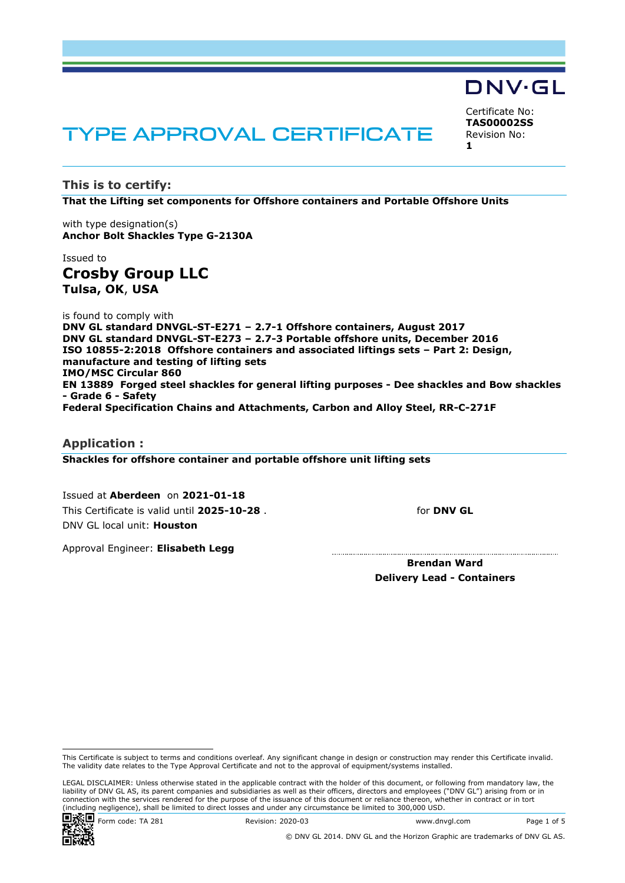# TYPE APPROVAL CERTIFICATE

**This is to certify:**

**That the Lifting set components for Offshore containers and Portable Offshore Units**

with type designation(s) **Anchor Bolt Shackles Type G-2130A**

Issued to **Crosby Group LLC Tulsa, OK**, **USA**

is found to comply with

**DNV GL standard DNVGL-ST-E271 – 2.7-1 Offshore containers, August 2017 DNV GL standard DNVGL-ST-E273 – 2.7-3 Portable offshore units, December 2016 ISO 10855-2:2018 Offshore containers and associated liftings sets – Part 2: Design, manufacture and testing of lifting sets IMO/MSC Circular 860 EN 13889 Forged steel shackles for general lifting purposes - Dee shackles and Bow shackles - Grade 6 - Safety Federal Specification Chains and Attachments, Carbon and Alloy Steel, RR-C-271F**

**Application : Shackles for offshore container and portable offshore unit lifting sets**

 Issued at **Aberdeen** on **2021-01-18** This Certificate is valid until **2025-10-28** . DNV GL local unit: **Houston**

for **DNV GL**

Certificate No: **TAS00002SS** Revision No:

DNV·GL

**1**

Approval Engineer: **Elisabeth Legg**

**Brendan Ward Delivery Lead - Containers**

LEGAL DISCLAIMER: Unless otherwise stated in the applicable contract with the holder of this document, or following from mandatory law, the liability of DNV GL AS, its parent companies and subsidiaries as well as their officers, directors and employees ("DNV GL") arising from or in connection with the services rendered for the purpose of the issuance of this document or reliance thereon, whether in contract or in tort (including negligence), shall be limited to direct losses and under any circumstance be limited to 300,000 USD.





This Certificate is subject to terms and conditions overleaf. Any significant change in design or construction may render this Certificate invalid. The validity date relates to the Type Approval Certificate and not to the approval of equipment/systems installed.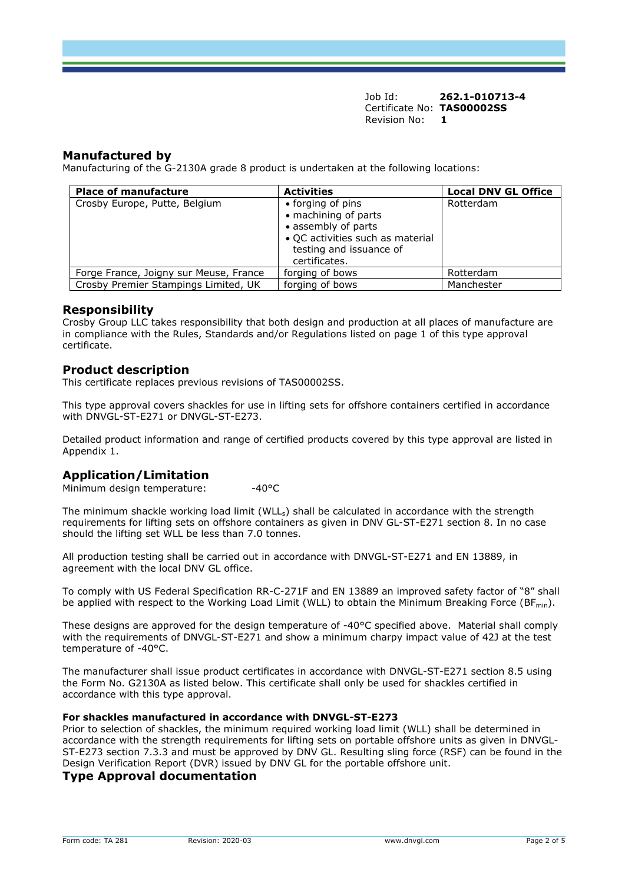## **Manufactured by**

Manufacturing of the G-2130A grade 8 product is undertaken at the following locations:

| <b>Place of manufacture</b>            | <b>Activities</b>                                                                                                                                | <b>Local DNV GL Office</b> |
|----------------------------------------|--------------------------------------------------------------------------------------------------------------------------------------------------|----------------------------|
| Crosby Europe, Putte, Belgium          | • forging of pins<br>• machining of parts<br>• assembly of parts<br>• QC activities such as material<br>testing and issuance of<br>certificates. | Rotterdam                  |
| Forge France, Joigny sur Meuse, France | forging of bows                                                                                                                                  | Rotterdam                  |
| Crosby Premier Stampings Limited, UK   | forging of bows                                                                                                                                  | Manchester                 |

#### **Responsibility**

Crosby Group LLC takes responsibility that both design and production at all places of manufacture are in compliance with the Rules, Standards and/or Regulations listed on page 1 of this type approval certificate.

#### **Product description**

This certificate replaces previous revisions of TAS00002SS.

This type approval covers shackles for use in lifting sets for offshore containers certified in accordance with DNVGL-ST-E271 or DNVGL-ST-E273.

Detailed product information and range of certified products covered by this type approval are listed in Appendix 1.

# **Application/Limitation**

Minimum design temperature: -40°C

The minimum shackle working load limit (WLL<sub>s</sub>) shall be calculated in accordance with the strength requirements for lifting sets on offshore containers as given in DNV GL-ST-E271 section 8. In no case should the lifting set WLL be less than 7.0 tonnes.

All production testing shall be carried out in accordance with DNVGL-ST-E271 and EN 13889, in agreement with the local DNV GL office.

To comply with US Federal Specification RR-C-271F and EN 13889 an improved safety factor of "8" shall be applied with respect to the Working Load Limit (WLL) to obtain the Minimum Breaking Force (BF $_{\text{min}}$ ).

These designs are approved for the design temperature of -40°C specified above. Material shall comply with the requirements of DNVGL-ST-E271 and show a minimum charpy impact value of 42J at the test temperature of -40°C.

The manufacturer shall issue product certificates in accordance with DNVGL-ST-E271 section 8.5 using the Form No. G2130A as listed below. This certificate shall only be used for shackles certified in accordance with this type approval.

#### **For shackles manufactured in accordance with DNVGL-ST-E273**

Prior to selection of shackles, the minimum required working load limit (WLL) shall be determined in accordance with the strength requirements for lifting sets on portable offshore units as given in DNVGL-ST-E273 section 7.3.3 and must be approved by DNV GL. Resulting sling force (RSF) can be found in the Design Verification Report (DVR) issued by DNV GL for the portable offshore unit.

## **Type Approval documentation**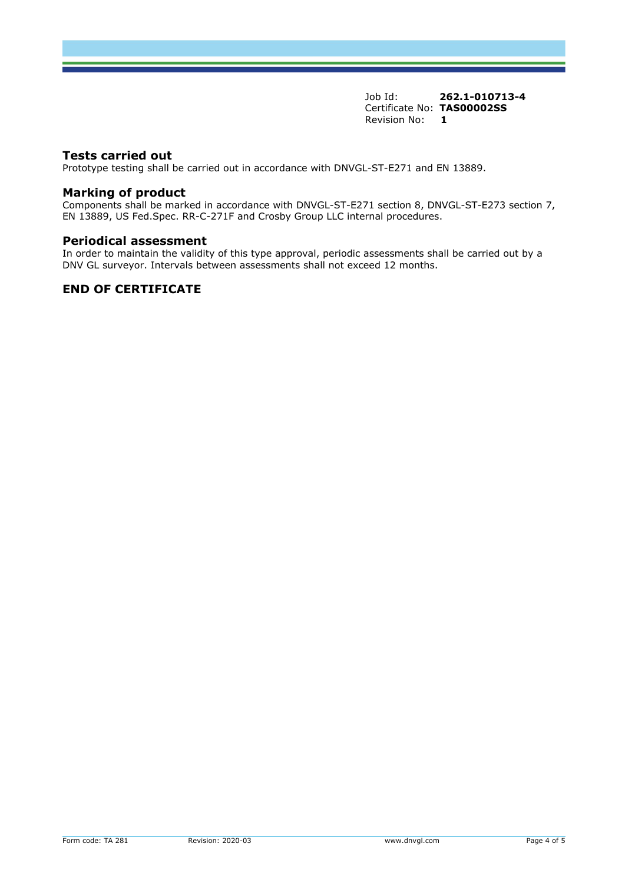#### **Tests carried out**

Prototype testing shall be carried out in accordance with DNVGL-ST-E271 and EN 13889.

#### **Marking of product**

Components shall be marked in accordance with DNVGL-ST-E271 section 8, DNVGL-ST-E273 section 7, EN 13889, US Fed.Spec. RR-C-271F and Crosby Group LLC internal procedures.

#### **Periodical assessment**

In order to maintain the validity of this type approval, periodic assessments shall be carried out by a DNV GL surveyor. Intervals between assessments shall not exceed 12 months.

## **END OF CERTIFICATE**